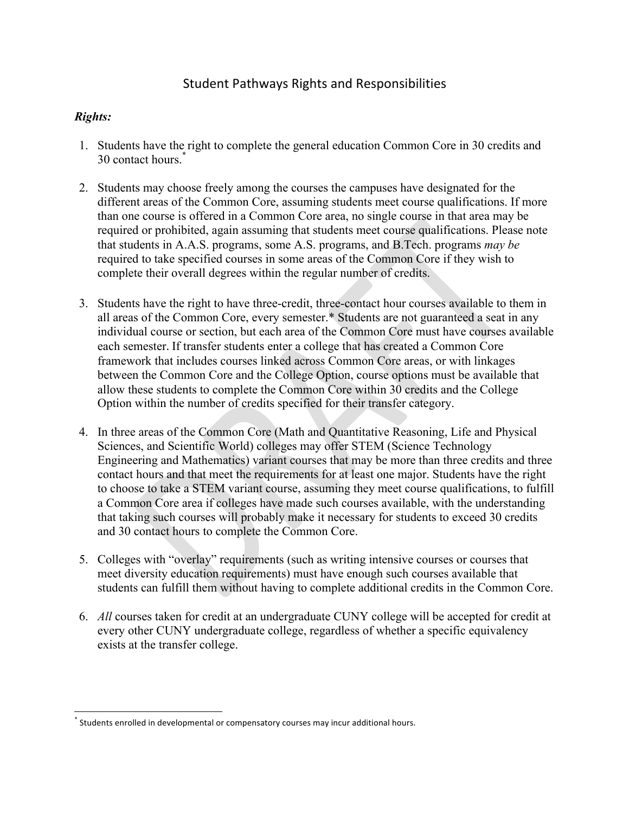## Student Pathways Rights and Responsibilities

## *Rights:*

- 1. Students have the right to complete the general education Common Core in 30 credits and 30 contact hours.\*
- 2. Students may choose freely among the courses the campuses have designated for the different areas of the Common Core, assuming students meet course qualifications. If more than one course is offered in a Common Core area, no single course in that area may be required or prohibited, again assuming that students meet course qualifications. Please note that students in A.A.S. programs, some A.S. programs, and B.Tech. programs *may be* required to take specified courses in some areas of the Common Core if they wish to complete their overall degrees within the regular number of credits.
- 3. Students have the right to have three-credit, three-contact hour courses available to them in all areas of the Common Core, every semester.\* Students are not guaranteed a seat in any individual course or section, but each area of the Common Core must have courses available each semester. If transfer students enter a college that has created a Common Core framework that includes courses linked across Common Core areas, or with linkages between the Common Core and the College Option, course options must be available that allow these students to complete the Common Core within 30 credits and the College Option within the number of credits specified for their transfer category.
- 4. In three areas of the Common Core (Math and Quantitative Reasoning, Life and Physical Sciences, and Scientific World) colleges may offer STEM (Science Technology Engineering and Mathematics) variant courses that may be more than three credits and three contact hours and that meet the requirements for at least one major. Students have the right to choose to take a STEM variant course, assuming they meet course qualifications, to fulfill a Common Core area if colleges have made such courses available, with the understanding that taking such courses will probably make it necessary for students to exceed 30 credits and 30 contact hours to complete the Common Core.
- 5. Colleges with "overlay" requirements (such as writing intensive courses or courses that meet diversity education requirements) must have enough such courses available that students can fulfill them without having to complete additional credits in the Common Core.
- 6. *All* courses taken for credit at an undergraduate CUNY college will be accepted for credit at every other CUNY undergraduate college, regardless of whether a specific equivalency exists at the transfer college.

Students enrolled in developmental or compensatory courses may incur additional hours.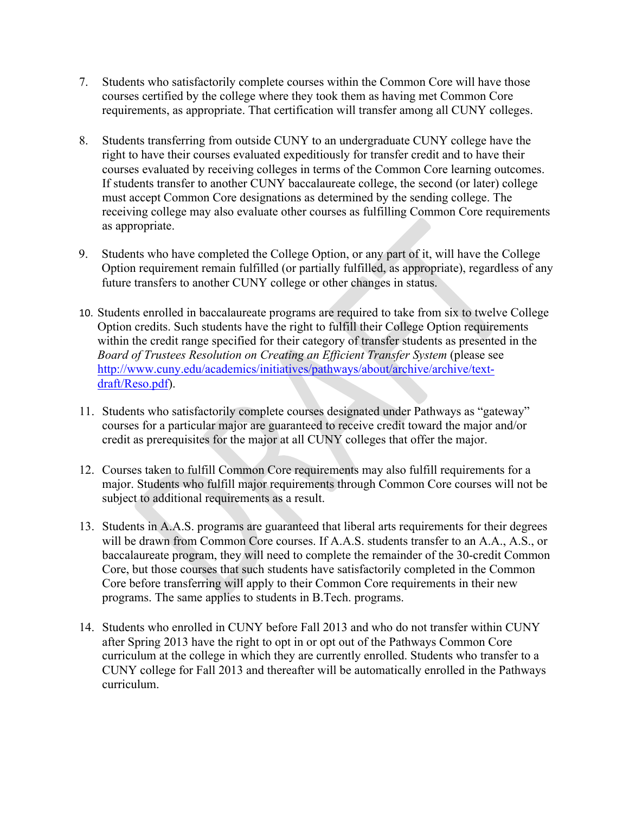- 7. Students who satisfactorily complete courses within the Common Core will have those courses certified by the college where they took them as having met Common Core requirements, as appropriate. That certification will transfer among all CUNY colleges.
- 8. Students transferring from outside CUNY to an undergraduate CUNY college have the right to have their courses evaluated expeditiously for transfer credit and to have their courses evaluated by receiving colleges in terms of the Common Core learning outcomes. If students transfer to another CUNY baccalaureate college, the second (or later) college must accept Common Core designations as determined by the sending college. The receiving college may also evaluate other courses as fulfilling Common Core requirements as appropriate.
- 9. Students who have completed the College Option, or any part of it, will have the College Option requirement remain fulfilled (or partially fulfilled, as appropriate), regardless of any future transfers to another CUNY college or other changes in status.
- 10. Students enrolled in baccalaureate programs are required to take from six to twelve College Option credits. Such students have the right to fulfill their College Option requirements within the credit range specified for their category of transfer students as presented in the *Board of Trustees Resolution on Creating an Efficient Transfer System* (please see http://www.cuny.edu/academics/initiatives/pathways/about/archive/archive/textdraft/Reso.pdf).
- 11. Students who satisfactorily complete courses designated under Pathways as "gateway" courses for a particular major are guaranteed to receive credit toward the major and/or credit as prerequisites for the major at all CUNY colleges that offer the major.
- 12. Courses taken to fulfill Common Core requirements may also fulfill requirements for a major. Students who fulfill major requirements through Common Core courses will not be subject to additional requirements as a result.
- 13. Students in A.A.S. programs are guaranteed that liberal arts requirements for their degrees will be drawn from Common Core courses. If A.A.S. students transfer to an A.A., A.S., or baccalaureate program, they will need to complete the remainder of the 30-credit Common Core, but those courses that such students have satisfactorily completed in the Common Core before transferring will apply to their Common Core requirements in their new programs. The same applies to students in B.Tech. programs.
- 14. Students who enrolled in CUNY before Fall 2013 and who do not transfer within CUNY after Spring 2013 have the right to opt in or opt out of the Pathways Common Core curriculum at the college in which they are currently enrolled. Students who transfer to a CUNY college for Fall 2013 and thereafter will be automatically enrolled in the Pathways curriculum.